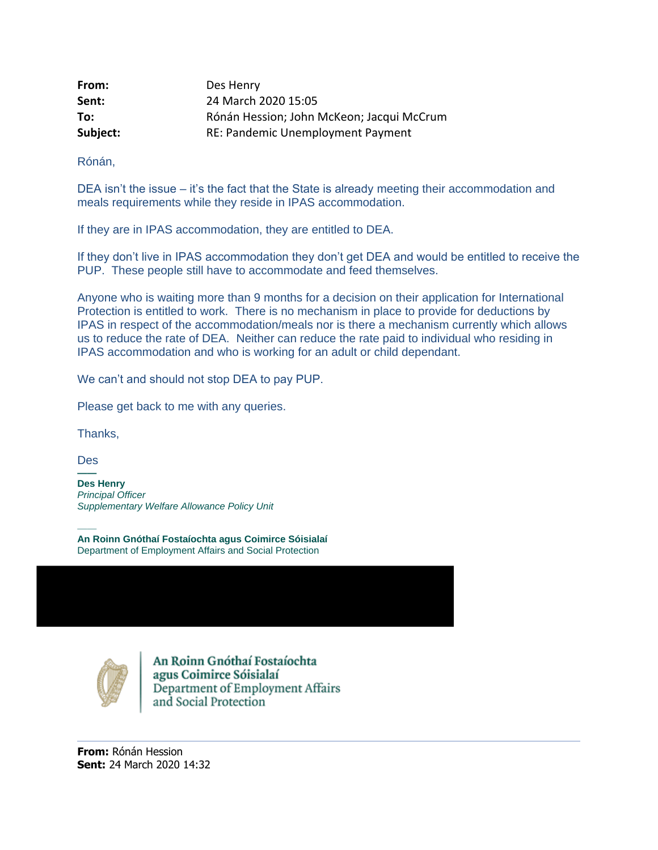| From:    | Des Henry                                 |
|----------|-------------------------------------------|
| Sent:    | 24 March 2020 15:05                       |
| To:      | Rónán Hession; John McKeon; Jacqui McCrum |
| Subject: | RE: Pandemic Unemployment Payment         |

Rónán,

DEA isn't the issue – it's the fact that the State is already meeting their accommodation and meals requirements while they reside in IPAS accommodation.

If they are in IPAS accommodation, they are entitled to DEA.

If they don't live in IPAS accommodation they don't get DEA and would be entitled to receive the PUP. These people still have to accommodate and feed themselves.

Anyone who is waiting more than 9 months for a decision on their application for International Protection is entitled to work. There is no mechanism in place to provide for deductions by IPAS in respect of the accommodation/meals nor is there a mechanism currently which allows us to reduce the rate of DEA. Neither can reduce the rate paid to individual who residing in IPAS accommodation and who is working for an adult or child dependant.

We can't and should not stop DEA to pay PUP.

Please get back to me with any queries.

Thanks,

Des **——**

**Des Henry** *Principal Officer Supplementary Welfare Allowance Policy Unit*

—— **An Roinn Gnóthaí Fostaíochta agus Coimirce Sóisialaí** Department of Employment Affairs and Social Protection



An Roinn Gnóthaí Fostaíochta agus Coimirce Sóisialaí<br>Department of Employment Affairs and Social Protection

**From:** Rónán Hession **Sent:** 24 March 2020 14:32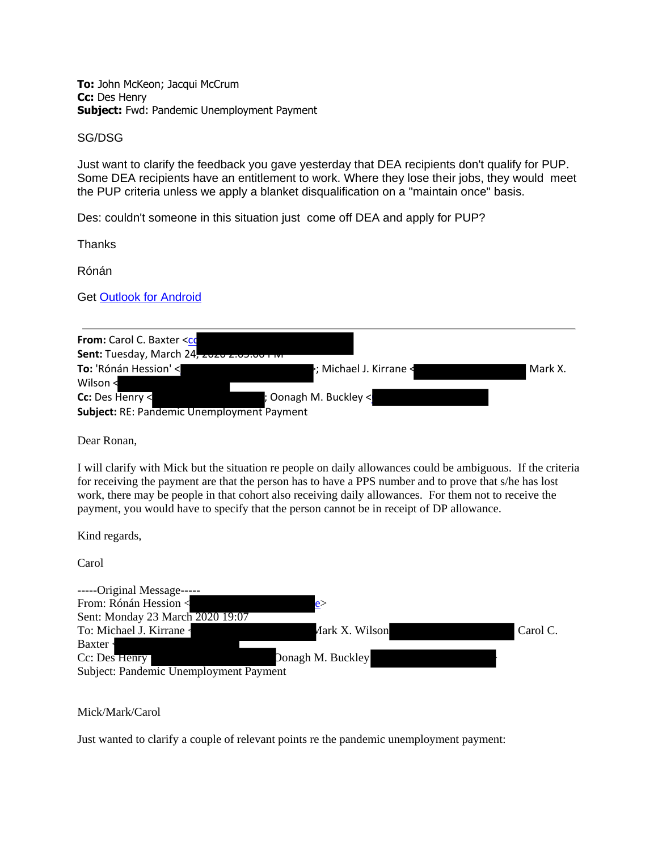**To:** John McKeon; Jacqui McCrum **Cc:** Des Henry **Subject:** Fwd: Pandemic Unemployment Payment

SG/DSG

Just want to clarify the feedback you gave yesterday that DEA recipients don't qualify for PUP. Some DEA recipients have an entitlement to work. Where they lose their jobs, they would meet the PUP criteria unless we apply a blanket disqualification on a "maintain once" basis.

Des: couldn't someone in this situation just come off DEA and apply for PUP?

**Thanks** 

Rónán

Get [Outlook for Android](https://aka.ms/ghei36)

| From: Carol C. Baxter <co< th=""><th></th><th></th></co<> |                                                            |         |
|-----------------------------------------------------------|------------------------------------------------------------|---------|
| Sent: Tuesday, March 24, 2020 2.00.00 FW                  |                                                            |         |
| To: 'Rónán Hession' <                                     | $\blacktriangleright$ ; Michael J. Kirrane $\triangleleft$ | Mark X. |
| Wilson $\prec$                                            |                                                            |         |
| Cc: Des Henry <                                           | ; Oonagh M. Buckley <                                      |         |
| <b>Subject: RE: Pandemic Unemployment Payment</b>         |                                                            |         |

Dear Ronan,

I will clarify with Mick but the situation re people on daily allowances could be ambiguous. If the criteria for receiving the payment are that the person has to have a PPS number and to prove that s/he has lost work, there may be people in that cohort also receiving daily allowances. For them not to receive the payment, you would have to specify that the person cannot be in receipt of DP allowance.

Kind regards,

Carol

| -----Original Message-----             |                            |
|----------------------------------------|----------------------------|
| From: Rónán Hession <                  |                            |
| Sent: Monday 23 March 2020 19:07       |                            |
| To: Michael J. Kirrane                 | Carol C.<br>Aark X. Wilson |
| Baxter                                 |                            |
| Cc: Des Henry                          | Donagh M. Buckley          |
| Subject: Pandemic Unemployment Payment |                            |

Mick/Mark/Carol

Just wanted to clarify a couple of relevant points re the pandemic unemployment payment: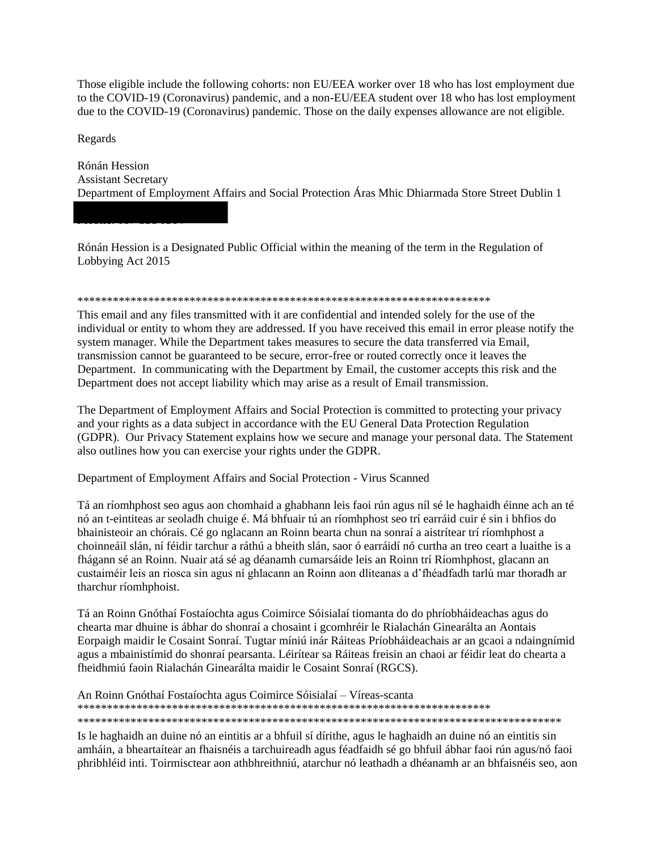Those eligible include the following cohorts: non EU/EEA worker over 18 who has lost employment due to the COVID-19 (Coronavirus) pandemic, and a non-EU/EEA student over 18 who has lost employment due to the COVID-19 (Coronavirus) pandemic. Those on the daily expenses allowance are not eligible.

Regards

Rónán Hession **Assistant Secretary** Department of Employment Affairs and Social Protection Áras Mhic Dhiarmada Store Street Dublin 1

Rónán Hession is a Designated Public Official within the meaning of the term in the Regulation of Lobbying Act 2015

## 

This email and any files transmitted with it are confidential and intended solely for the use of the individual or entity to whom they are addressed. If you have received this email in error please notify the system manager. While the Department takes measures to secure the data transferred via Email, transmission cannot be guaranteed to be secure, error-free or routed correctly once it leaves the Department. In communicating with the Department by Email, the customer accepts this risk and the Department does not accept liability which may arise as a result of Email transmission.

The Department of Employment Affairs and Social Protection is committed to protecting your privacy and your rights as a data subject in accordance with the EU General Data Protection Regulation (GDPR). Our Privacy Statement explains how we secure and manage your personal data. The Statement also outlines how you can exercise your rights under the GDPR.

Department of Employment Affairs and Social Protection - Virus Scanned

Tá an ríomhphost seo agus aon chomhaid a ghabhann leis faoi rún agus níl sé le haghaidh éinne ach an té nó an t-eintiteas ar seoladh chuige é. Má bhfuair tú an ríomhphost seo trí earráid cuir é sin i bhfios do bhainisteoir an chórais. Cé go nglacann an Roinn bearta chun na sonraí a aistrítear trí ríomhphost a choinneáil slán, ní féidir tarchur a ráthú a bheith slán, saor ó earráidí nó curtha an treo ceart a luaithe is a fhágann sé an Roinn. Nuair atá sé ag déanamh cumarsáide leis an Roinn trí Ríomhphost, glacann an custaiméir leis an riosca sin agus ní ghlacann an Roinn aon dliteanas a d'fhéadfadh tarlú mar thoradh ar tharchur ríomhphoist.

Tá an Roinn Gnóthaí Fostaíochta agus Coimirce Sóisialaí tiomanta do do phríobháideachas agus do chearta mar dhuine is ábhar do shonraí a chosaint i gcomhréir le Rialachán Ginearálta an Aontais Eorpaigh maidir le Cosaint Sonraí. Tugtar míniú inár Ráiteas Príobháideachais ar an gcaoi a ndaingnímid agus a mbainistímid do shonraí pearsanta. Léirítear sa Ráiteas freisin an chaoi ar féidir leat do chearta a fheidhmiú faoin Rialachán Ginearálta maidir le Cosaint Sonraí (RGCS).

An Roinn Gnóthaí Fostaíochta agus Coimirce Sóisialaí – Víreas-scanta 

Is le haghaidh an duine nó an eintitis ar a bhfuil sí dírithe, agus le haghaidh an duine nó an eintitis sin amháin, a bheartaítear an fhaisnéis a tarchuireadh agus féadfaidh sé go bhfuil ábhar faoi rún agus/nó faoi phribhléid inti. Toirmisctear aon athbhreithniú, atarchur nó leathadh a dhéanamh ar an bhfaisnéis seo, aon